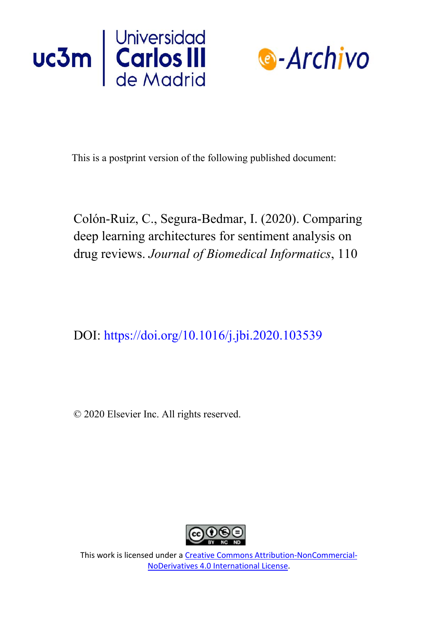



This is a postprint version of the following published document:

Colón-Ruiz, C., Segura-Bedmar, I. (2020). Comparing deep learning architectures for sentiment analysis on drug reviews. *Journal of Biomedical Informatics*, 110

DOI: <https://doi.org/10.1016/j.jbi.2020.103539>

© 2020 Elsevier Inc. All rights reserved.



This work is licensed under a Creative [Commons Attribution-NonCommercial-](https://creativecommons.org/licenses/by-nc-nd/4.0/)NoDerivatives [4.0 International License.](https://creativecommons.org/licenses/by-nc-nd/4.0/)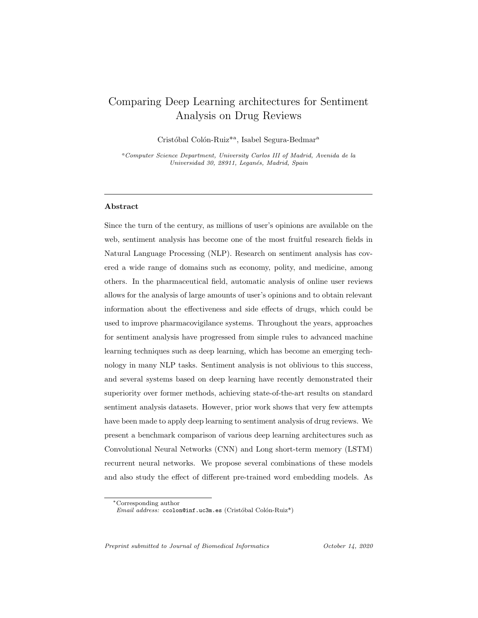# Comparing Deep Learning architectures for Sentiment Analysis on Drug Reviews

Cristóbal Colón-Ruiz<sup>\*a</sup>, Isabel Segura-Bedmar<sup>a</sup>

<sup>a</sup>Computer Science Department, University Carlos III of Madrid, Avenida de la Universidad 30, 28911, Leganés, Madrid, Spain

## Abstract

Since the turn of the century, as millions of user's opinions are available on the web, sentiment analysis has become one of the most fruitful research fields in Natural Language Processing (NLP). Research on sentiment analysis has covered a wide range of domains such as economy, polity, and medicine, among others. In the pharmaceutical field, automatic analysis of online user reviews allows for the analysis of large amounts of user's opinions and to obtain relevant information about the effectiveness and side effects of drugs, which could be used to improve pharmacovigilance systems. Throughout the years, approaches for sentiment analysis have progressed from simple rules to advanced machine learning techniques such as deep learning, which has become an emerging technology in many NLP tasks. Sentiment analysis is not oblivious to this success, and several systems based on deep learning have recently demonstrated their superiority over former methods, achieving state-of-the-art results on standard sentiment analysis datasets. However, prior work shows that very few attempts have been made to apply deep learning to sentiment analysis of drug reviews. We present a benchmark comparison of various deep learning architectures such as Convolutional Neural Networks (CNN) and Long short-term memory (LSTM) recurrent neural networks. We propose several combinations of these models and also study the effect of different pre-trained word embedding models. As

Preprint submitted to Journal of Biomedical Informatics Corober 14, 2020

<sup>∗</sup>Corresponding author

 $Email address: `ccolon@inf.uc3m.es` (Cristóbal Colón-Ruiz<sup>*</sup>)$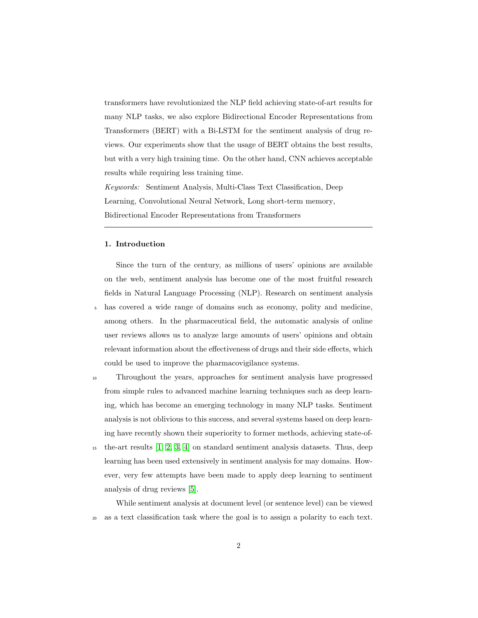transformers have revolutionized the NLP field achieving state-of-art results for many NLP tasks, we also explore Bidirectional Encoder Representations from Transformers (BERT) with a Bi-LSTM for the sentiment analysis of drug reviews. Our experiments show that the usage of BERT obtains the best results, but with a very high training time. On the other hand, CNN achieves acceptable results while requiring less training time.

Keywords: Sentiment Analysis, Multi-Class Text Classification, Deep Learning, Convolutional Neural Network, Long short-term memory, Bidirectional Encoder Representations from Transformers

## 1. Introduction

Since the turn of the century, as millions of users' opinions are available on the web, sentiment analysis has become one of the most fruitful research fields in Natural Language Processing (NLP). Research on sentiment analysis

- <sup>5</sup> has covered a wide range of domains such as economy, polity and medicine, among others. In the pharmaceutical field, the automatic analysis of online user reviews allows us to analyze large amounts of users' opinions and obtain relevant information about the effectiveness of drugs and their side effects, which could be used to improve the pharmacovigilance systems.
- <sup>10</sup> Throughout the years, approaches for sentiment analysis have progressed from simple rules to advanced machine learning techniques such as deep learning, which has become an emerging technology in many NLP tasks. Sentiment analysis is not oblivious to this success, and several systems based on deep learning have recently shown their superiority to former methods, achieving state-of-
- <sup>15</sup> the-art results [\[1,](#page-28-0) [2,](#page-28-1) [3,](#page-28-2) [4\]](#page-28-3) on standard sentiment analysis datasets. Thus, deep learning has been used extensively in sentiment analysis for may domains. However, very few attempts have been made to apply deep learning to sentiment analysis of drug reviews [\[5\]](#page-28-4).

While sentiment analysis at document level (or sentence level) can be viewed <sup>20</sup> as a text classification task where the goal is to assign a polarity to each text.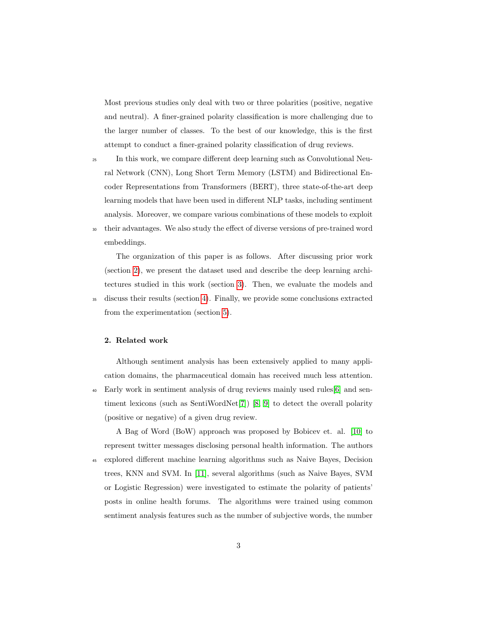Most previous studies only deal with two or three polarities (positive, negative and neutral). A finer-grained polarity classification is more challenging due to the larger number of classes. To the best of our knowledge, this is the first attempt to conduct a finer-grained polarity classification of drug reviews.

- <sup>25</sup> In this work, we compare different deep learning such as Convolutional Neural Network (CNN), Long Short Term Memory (LSTM) and Bidirectional Encoder Representations from Transformers (BERT), three state-of-the-art deep learning models that have been used in different NLP tasks, including sentiment analysis. Moreover, we compare various combinations of these models to exploit <sup>30</sup> their advantages. We also study the effect of diverse versions of pre-trained word
- embeddings.

The organization of this paper is as follows. After discussing prior work (section [2\)](#page-3-0), we present the dataset used and describe the deep learning architectures studied in this work (section [3\)](#page-6-0). Then, we evaluate the models and <sup>35</sup> discuss their results (section [4\)](#page-15-0). Finally, we provide some conclusions extracted from the experimentation (section [5\)](#page-26-0).

## <span id="page-3-0"></span>2. Related work

Although sentiment analysis has been extensively applied to many application domains, the pharmaceutical domain has received much less attention. <sup>40</sup> Early work in sentiment analysis of drug reviews mainly used rules[\[6\]](#page-29-0) and sentiment lexicons (such as SentiWordNet[\[7\]](#page-29-1)) [\[8,](#page-29-2) [9\]](#page-29-3) to detect the overall polarity (positive or negative) of a given drug review.

A Bag of Word (BoW) approach was proposed by Bobicev et. al. [\[10\]](#page-29-4) to represent twitter messages disclosing personal health information. The authors <sup>45</sup> explored different machine learning algorithms such as Naive Bayes, Decision trees, KNN and SVM. In [\[11\]](#page-29-5), several algorithms (such as Naive Bayes, SVM or Logistic Regression) were investigated to estimate the polarity of patients' posts in online health forums. The algorithms were trained using common sentiment analysis features such as the number of subjective words, the number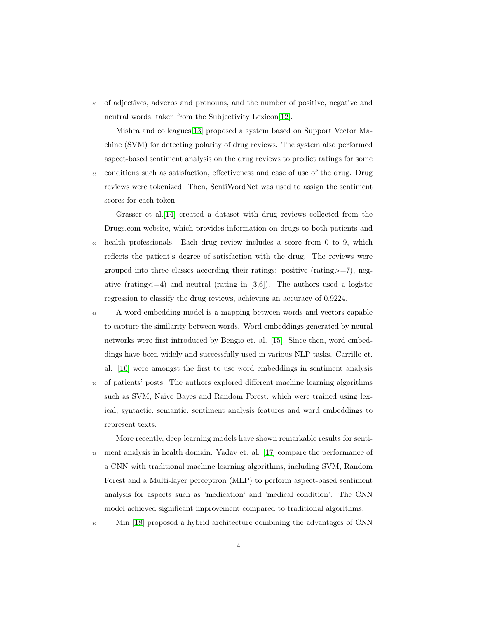<sup>50</sup> of adjectives, adverbs and pronouns, and the number of positive, negative and neutral words, taken from the Subjectivity Lexicon[\[12\]](#page-29-6).

Mishra and colleagues[\[13\]](#page-29-7) proposed a system based on Support Vector Machine (SVM) for detecting polarity of drug reviews. The system also performed aspect-based sentiment analysis on the drug reviews to predict ratings for some

<sup>55</sup> conditions such as satisfaction, effectiveness and ease of use of the drug. Drug reviews were tokenized. Then, SentiWordNet was used to assign the sentiment scores for each token.

Grasser et al.[\[14\]](#page-30-0) created a dataset with drug reviews collected from the Drugs.com website, which provides information on drugs to both patients and <sup>60</sup> health professionals. Each drug review includes a score from 0 to 9, which reflects the patient's degree of satisfaction with the drug. The reviews were grouped into three classes according their ratings: positive (rating>=7), negative (rating  $\leq$  =4) and neutral (rating in [3,6]). The authors used a logistic regression to classify the drug reviews, achieving an accuracy of 0.9224.

- <sup>65</sup> A word embedding model is a mapping between words and vectors capable to capture the similarity between words. Word embeddings generated by neural networks were first introduced by Bengio et. al. [\[15\]](#page-30-1). Since then, word embeddings have been widely and successfully used in various NLP tasks. Carrillo et. al. [\[16\]](#page-30-2) were amongst the first to use word embeddings in sentiment analysis
- <sup>70</sup> of patients' posts. The authors explored different machine learning algorithms such as SVM, Naive Bayes and Random Forest, which were trained using lexical, syntactic, semantic, sentiment analysis features and word embeddings to represent texts.

More recently, deep learning models have shown remarkable results for senti-<sup>75</sup> ment analysis in health domain. Yadav et. al. [\[17\]](#page-30-3) compare the performance of a CNN with traditional machine learning algorithms, including SVM, Random Forest and a Multi-layer perceptron (MLP) to perform aspect-based sentiment analysis for aspects such as 'medication' and 'medical condition'. The CNN model achieved significant improvement compared to traditional algorithms.

<sup>80</sup> Min [\[18\]](#page-30-4) proposed a hybrid architecture combining the advantages of CNN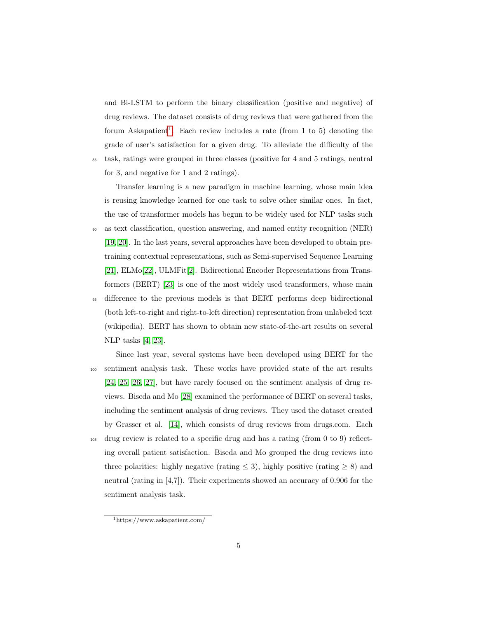and Bi-LSTM to perform the binary classification (positive and negative) of drug reviews. The dataset consists of drug reviews that were gathered from the forum Askapatient<sup>[1](#page-5-0)</sup>. Each review includes a rate (from 1 to 5) denoting the grade of user's satisfaction for a given drug. To alleviate the difficulty of the

<sup>85</sup> task, ratings were grouped in three classes (positive for 4 and 5 ratings, neutral for 3, and negative for 1 and 2 ratings).

Transfer learning is a new paradigm in machine learning, whose main idea is reusing knowledge learned for one task to solve other similar ones. In fact, the use of transformer models has begun to be widely used for NLP tasks such

- <sup>90</sup> as text classification, question answering, and named entity recognition (NER) [\[19,](#page-30-5) [20\]](#page-30-6). In the last years, several approaches have been developed to obtain pretraining contextual representations, such as Semi-supervised Sequence Learning [\[21\]](#page-30-7), ELMo[\[22\]](#page-31-0), ULMFit[\[2\]](#page-28-1). Bidirectional Encoder Representations from Transformers (BERT) [\[23\]](#page-31-1) is one of the most widely used transformers, whose main
- <sup>95</sup> difference to the previous models is that BERT performs deep bidirectional (both left-to-right and right-to-left direction) representation from unlabeled text (wikipedia). BERT has shown to obtain new state-of-the-art results on several NLP tasks [\[4,](#page-28-3) [23\]](#page-31-1).
- Since last year, several systems have been developed using BERT for the <sup>100</sup> sentiment analysis task. These works have provided state of the art results [\[24,](#page-31-2) [25,](#page-31-3) [26,](#page-31-4) [27\]](#page-31-5), but have rarely focused on the sentiment analysis of drug reviews. Biseda and Mo [\[28\]](#page-31-6) examined the performance of BERT on several tasks, including the sentiment analysis of drug reviews. They used the dataset created by Grasser et al. [\[14\]](#page-30-0), which consists of drug reviews from drugs.com. Each <sup>105</sup> drug review is related to a specific drug and has a rating (from 0 to 9) reflecting overall patient satisfaction. Biseda and Mo grouped the drug reviews into three polarities: highly negative (rating  $\leq$  3), highly positive (rating  $\geq$  8) and neutral (rating in [4,7]). Their experiments showed an accuracy of 0.906 for the sentiment analysis task.

<span id="page-5-0"></span><sup>1</sup>https://www.askapatient.com/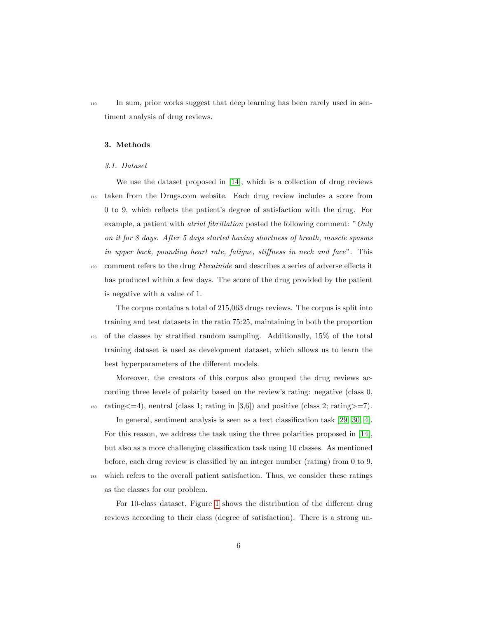<sup>110</sup> In sum, prior works suggest that deep learning has been rarely used in sentiment analysis of drug reviews.

## <span id="page-6-0"></span>3. Methods

#### 3.1. Dataset

We use the dataset proposed in [\[14\]](#page-30-0), which is a collection of drug reviews <sup>115</sup> taken from the Drugs.com website. Each drug review includes a score from 0 to 9, which reflects the patient's degree of satisfaction with the drug. For example, a patient with atrial fibrillation posted the following comment: "Only on it for 8 days. After 5 days started having shortness of breath, muscle spasms in upper back, pounding heart rate, fatigue, stiffness in neck and face". This

120 comment refers to the drug Flecainide and describes a series of adverse effects it has produced within a few days. The score of the drug provided by the patient is negative with a value of 1.

The corpus contains a total of 215,063 drugs reviews. The corpus is split into training and test datasets in the ratio 75:25, maintaining in both the proportion <sup>125</sup> of the classes by stratified random sampling. Additionally, 15% of the total training dataset is used as development dataset, which allows us to learn the best hyperparameters of the different models.

Moreover, the creators of this corpus also grouped the drug reviews according three levels of polarity based on the review's rating: negative (class 0,  $\text{min}_{s \geq 130} \quad \text{rating} \leq -4$ , neutral (class 1; rating in [3,6]) and positive (class 2; rating  $> = 7$ ).

In general, sentiment analysis is seen as a text classification task [\[29,](#page-31-7) [30,](#page-32-0) [4\]](#page-28-3). For this reason, we address the task using the three polarities proposed in [\[14\]](#page-30-0), but also as a more challenging classification task using 10 classes. As mentioned before, each drug review is classified by an integer number (rating) from 0 to 9,

<sup>135</sup> which refers to the overall patient satisfaction. Thus, we consider these ratings as the classes for our problem.

For 10-class dataset, Figure [1](#page-7-0) shows the distribution of the different drug reviews according to their class (degree of satisfaction). There is a strong un-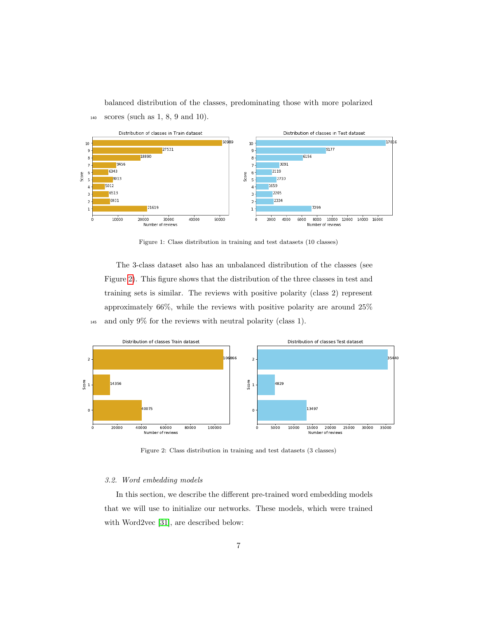

balanced distribution of the classes, predominating those with more polarized

Figure 1: Class distribution in training and test datasets (10 classes)

The 3-class dataset also has an unbalanced distribution of the classes (see Figure [2\)](#page-7-1). This figure shows that the distribution of the three classes in test and training sets is similar. The reviews with positive polarity (class 2) represent approximately 66%, while the reviews with positive polarity are around 25% <sup>145</sup> and only 9% for the reviews with neutral polarity (class 1).

<span id="page-7-1"></span>

Figure 2: Class distribution in training and test datasets (3 classes)

## 3.2. Word embedding models

<span id="page-7-0"></span><sup>140</sup> scores (such as 1, 8, 9 and 10).

In this section, we describe the different pre-trained word embedding models that we will use to initialize our networks. These models, which were trained with Word2vec [\[31\]](#page-32-1), are described below: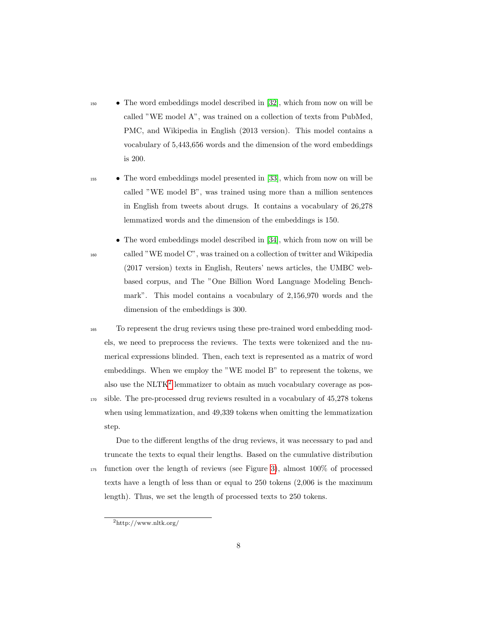- <sup>150</sup> The word embeddings model described in [\[32\]](#page-32-2), which from now on will be called "WE model A", was trained on a collection of texts from PubMed, PMC, and Wikipedia in English (2013 version). This model contains a vocabulary of 5,443,656 words and the dimension of the word embeddings is 200.
- <sup>155</sup> The word embeddings model presented in [\[33\]](#page-32-3), which from now on will be called "WE model B", was trained using more than a million sentences in English from tweets about drugs. It contains a vocabulary of 26,278 lemmatized words and the dimension of the embeddings is 150.
- The word embeddings model described in [\[34\]](#page-32-4), which from now on will be <sup>160</sup> called "WE model C", was trained on a collection of twitter and Wikipedia (2017 version) texts in English, Reuters' news articles, the UMBC webbased corpus, and The "One Billion Word Language Modeling Benchmark". This model contains a vocabulary of 2,156,970 words and the dimension of the embeddings is 300.
- <sup>165</sup> To represent the drug reviews using these pre-trained word embedding models, we need to preprocess the reviews. The texts were tokenized and the numerical expressions blinded. Then, each text is represented as a matrix of word embeddings. When we employ the "WE model B" to represent the tokens, we also use the NLTK<sup>[2](#page-8-0)</sup> lemmatizer to obtain as much vocabulary coverage as pos-<sup>170</sup> sible. The pre-processed drug reviews resulted in a vocabulary of 45,278 tokens when using lemmatization, and 49,339 tokens when omitting the lemmatization
- step. Due to the different lengths of the drug reviews, it was necessary to pad and truncate the texts to equal their lengths. Based on the cumulative distribution <sup>175</sup> function over the length of reviews (see Figure [3\)](#page-9-0), almost 100% of processed
	- texts have a length of less than or equal to 250 tokens (2,006 is the maximum length). Thus, we set the length of processed texts to 250 tokens.

<span id="page-8-0"></span><sup>2</sup>http://www.nltk.org/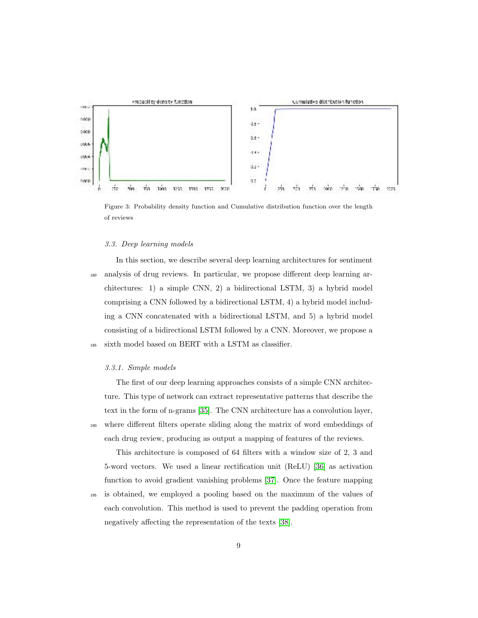<span id="page-9-0"></span>

Figure 3: Probability density function and Cumulative distribution function over the length of reviews

## 3.3. Deep learning models

In this section, we describe several deep learning architectures for sentiment <sup>180</sup> analysis of drug reviews. In particular, we propose different deep learning architectures: 1) a simple CNN, 2) a bidirectional LSTM, 3) a hybrid model comprising a CNN followed by a bidirectional LSTM, 4) a hybrid model including a CNN concatenated with a bidirectional LSTM, and 5) a hybrid model consisting of a bidirectional LSTM followed by a CNN. Moreover, we propose a <sup>185</sup> sixth model based on BERT with a LSTM as classifier.

## 3.3.1. Simple models

The first of our deep learning approaches consists of a simple CNN architecture. This type of network can extract representative patterns that describe the text in the form of n-grams [\[35\]](#page-32-5). The CNN architecture has a convolution layer, <sup>190</sup> where different filters operate sliding along the matrix of word embeddings of each drug review, producing as output a mapping of features of the reviews.

This architecture is composed of 64 filters with a window size of 2, 3 and 5-word vectors. We used a linear rectification unit (ReLU) [\[36\]](#page-32-6) as activation function to avoid gradient vanishing problems [\[37\]](#page-32-7). Once the feature mapping <sup>195</sup> is obtained, we employed a pooling based on the maximum of the values of each convolution. This method is used to prevent the padding operation from negatively affecting the representation of the texts [\[38\]](#page-33-0).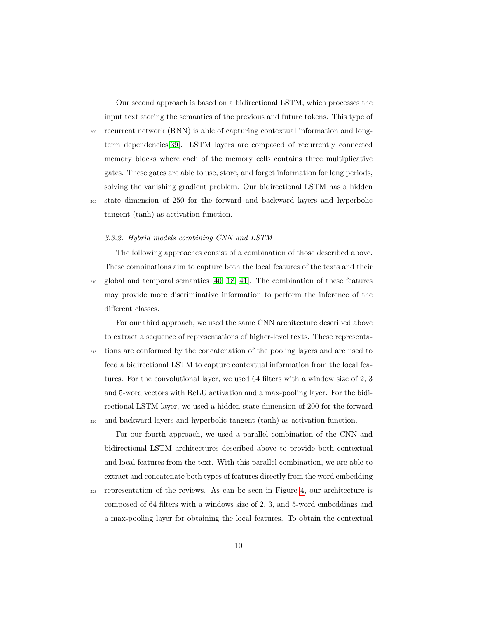Our second approach is based on a bidirectional LSTM, which processes the input text storing the semantics of the previous and future tokens. This type of <sup>200</sup> recurrent network (RNN) is able of capturing contextual information and longterm dependencies[\[39\]](#page-33-1). LSTM layers are composed of recurrently connected memory blocks where each of the memory cells contains three multiplicative gates. These gates are able to use, store, and forget information for long periods, solving the vanishing gradient problem. Our bidirectional LSTM has a hidden

<sup>205</sup> state dimension of 250 for the forward and backward layers and hyperbolic tangent (tanh) as activation function.

#### 3.3.2. Hybrid models combining CNN and LSTM

The following approaches consist of a combination of those described above. These combinations aim to capture both the local features of the texts and their <sup>210</sup> global and temporal semantics [\[40,](#page-33-2) [18,](#page-30-4) [41\]](#page-33-3). The combination of these features may provide more discriminative information to perform the inference of the different classes.

For our third approach, we used the same CNN architecture described above to extract a sequence of representations of higher-level texts. These representa-<sup>215</sup> tions are conformed by the concatenation of the pooling layers and are used to feed a bidirectional LSTM to capture contextual information from the local features. For the convolutional layer, we used 64 filters with a window size of 2, 3 and 5-word vectors with ReLU activation and a max-pooling layer. For the bidirectional LSTM layer, we used a hidden state dimension of 200 for the forward <sup>220</sup> and backward layers and hyperbolic tangent (tanh) as activation function.

For our fourth approach, we used a parallel combination of the CNN and bidirectional LSTM architectures described above to provide both contextual and local features from the text. With this parallel combination, we are able to extract and concatenate both types of features directly from the word embedding

<sup>225</sup> representation of the reviews. As can be seen in Figure [4,](#page-11-0) our architecture is composed of 64 filters with a windows size of 2, 3, and 5-word embeddings and a max-pooling layer for obtaining the local features. To obtain the contextual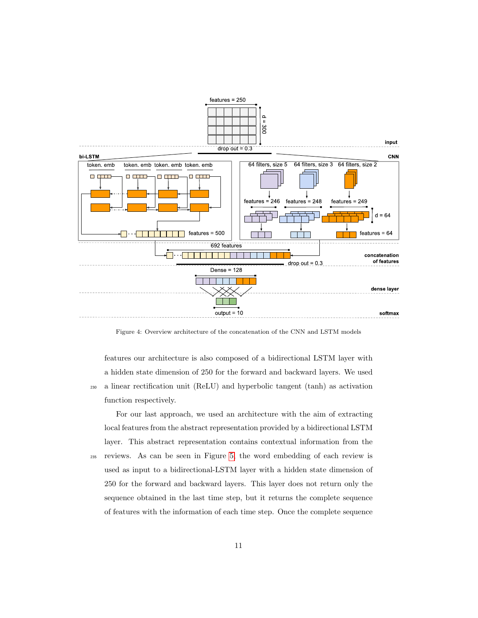<span id="page-11-0"></span>

Figure 4: Overview architecture of the concatenation of the CNN and LSTM models

features our architecture is also composed of a bidirectional LSTM layer with a hidden state dimension of 250 for the forward and backward layers. We used <sup>230</sup> a linear rectification unit (ReLU) and hyperbolic tangent (tanh) as activation function respectively.

For our last approach, we used an architecture with the aim of extracting local features from the abstract representation provided by a bidirectional LSTM layer. This abstract representation contains contextual information from the <sup>235</sup> reviews. As can be seen in Figure [5,](#page-12-0) the word embedding of each review is used as input to a bidirectional-LSTM layer with a hidden state dimension of 250 for the forward and backward layers. This layer does not return only the sequence obtained in the last time step, but it returns the complete sequence

of features with the information of each time step. Once the complete sequence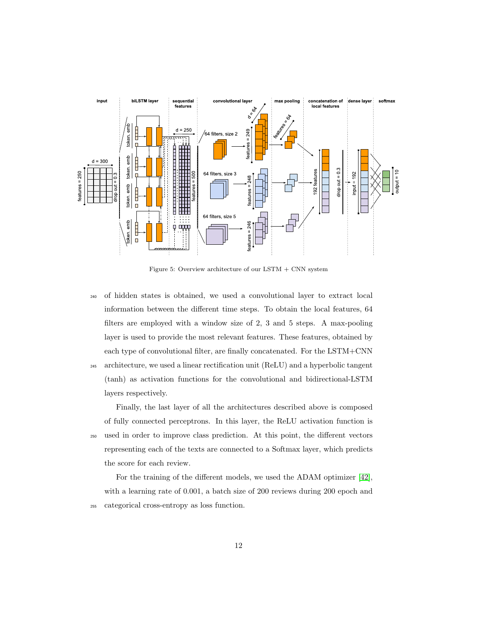<span id="page-12-0"></span>

Figure 5: Overview architecture of our LSTM + CNN system

<sup>240</sup> of hidden states is obtained, we used a convolutional layer to extract local information between the different time steps. To obtain the local features, 64 filters are employed with a window size of 2, 3 and 5 steps. A max-pooling layer is used to provide the most relevant features. These features, obtained by each type of convolutional filter, are finally concatenated. For the LSTM+CNN <sup>245</sup> architecture, we used a linear rectification unit (ReLU) and a hyperbolic tangent (tanh) as activation functions for the convolutional and bidirectional-LSTM

Finally, the last layer of all the architectures described above is composed of fully connected perceptrons. In this layer, the ReLU activation function is <sup>250</sup> used in order to improve class prediction. At this point, the different vectors representing each of the texts are connected to a Softmax layer, which predicts the score for each review.

layers respectively.

For the training of the different models, we used the ADAM optimizer [\[42\]](#page-33-4), with a learning rate of 0.001, a batch size of 200 reviews during 200 epoch and <sup>255</sup> categorical cross-entropy as loss function.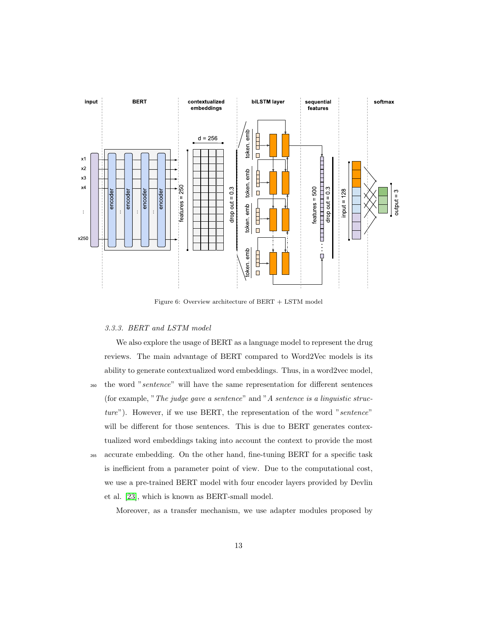<span id="page-13-0"></span>

Figure 6: Overview architecture of BERT + LSTM model

## 3.3.3. BERT and LSTM model

We also explore the usage of BERT as a language model to represent the drug reviews. The main advantage of BERT compared to Word2Vec models is its ability to generate contextualized word embeddings. Thus, in a word2vec model, <sup>260</sup> the word "sentence" will have the same representation for different sentences (for example, "The judge gave a sentence" and "A sentence is a linguistic structure"). However, if we use BERT, the representation of the word "sentence" will be different for those sentences. This is due to BERT generates contex-

<sup>265</sup> accurate embedding. On the other hand, fine-tuning BERT for a specific task is inefficient from a parameter point of view. Due to the computational cost, we use a pre-trained BERT model with four encoder layers provided by Devlin et al. [\[23\]](#page-31-1), which is known as BERT-small model.

tualized word embeddings taking into account the context to provide the most

Moreover, as a transfer mechanism, we use adapter modules proposed by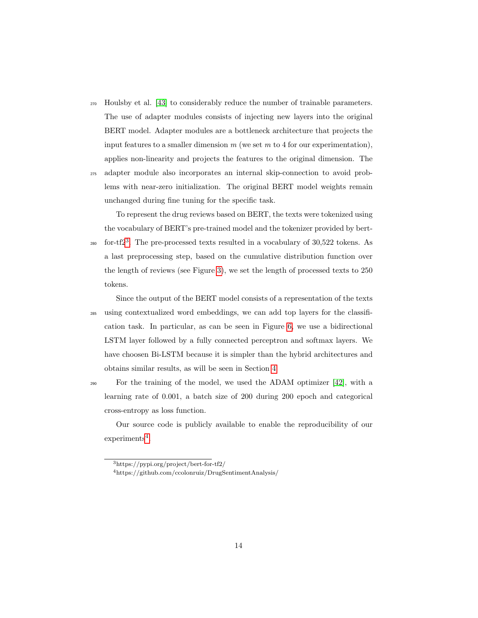- <sup>270</sup> Houlsby et al. [\[43\]](#page-33-5) to considerably reduce the number of trainable parameters. The use of adapter modules consists of injecting new layers into the original BERT model. Adapter modules are a bottleneck architecture that projects the input features to a smaller dimension  $m$  (we set  $m$  to 4 for our experimentation), applies non-linearity and projects the features to the original dimension. The
- <sup>275</sup> adapter module also incorporates an internal skip-connection to avoid problems with near-zero initialization. The original BERT model weights remain unchanged during fine tuning for the specific task.

To represent the drug reviews based on BERT, the texts were tokenized using the vocabulary of BERT's pre-trained model and the tokenizer provided by bert- $_{280}$  for-tf2<sup>[3](#page-14-0)</sup>. The pre-processed texts resulted in a vocabulary of 30,522 tokens. As a last preprocessing step, based on the cumulative distribution function over the length of reviews (see Figure [3\)](#page-9-0), we set the length of processed texts to 250 tokens.

Since the output of the BERT model consists of a representation of the texts <sup>285</sup> using contextualized word embeddings, we can add top layers for the classification task. In particular, as can be seen in Figure [6,](#page-13-0) we use a bidirectional LSTM layer followed by a fully connected perceptron and softmax layers. We have choosen Bi-LSTM because it is simpler than the hybrid architectures and obtains similar results, as will be seen in Section [4.](#page-15-0)

<sup>290</sup> For the training of the model, we used the ADAM optimizer [\[42\]](#page-33-4), with a learning rate of 0.001, a batch size of 200 during 200 epoch and categorical cross-entropy as loss function.

Our source code is publicly available to enable the reproducibility of our  $experiments<sup>4</sup>$  $experiments<sup>4</sup>$  $experiments<sup>4</sup>$ .

<span id="page-14-1"></span><span id="page-14-0"></span><sup>3</sup>https://pypi.org/project/bert-for-tf2/

<sup>4</sup>https://github.com/ccolonruiz/DrugSentimentAnalysis/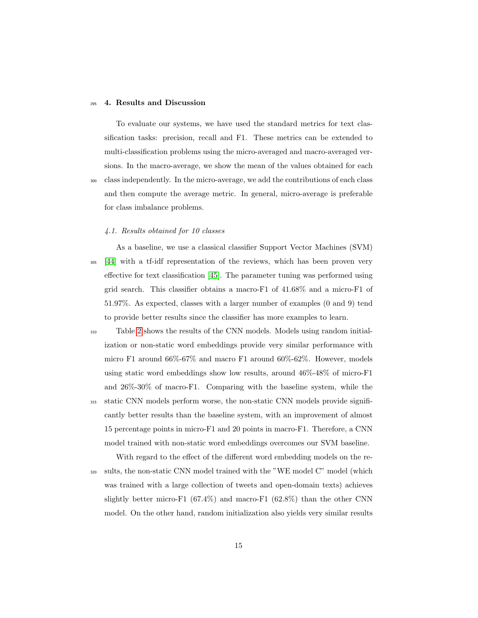#### <span id="page-15-0"></span><sup>295</sup> 4. Results and Discussion

To evaluate our systems, we have used the standard metrics for text classification tasks: precision, recall and F1. These metrics can be extended to multi-classification problems using the micro-averaged and macro-averaged versions. In the macro-average, we show the mean of the values obtained for each <sup>300</sup> class independently. In the micro-average, we add the contributions of each class and then compute the average metric. In general, micro-average is preferable for class imbalance problems.

## 4.1. Results obtained for 10 classes

As a baseline, we use a classical classifier Support Vector Machines (SVM) <sup>305</sup> [\[44\]](#page-33-6) with a tf-idf representation of the reviews, which has been proven very effective for text classification [\[45\]](#page-33-7). The parameter tuning was performed using grid search. This classifier obtains a macro-F1 of 41.68% and a micro-F1 of 51.97%. As expected, classes with a larger number of examples (0 and 9) tend to provide better results since the classifier has more examples to learn.

- <sup>310</sup> Table [2](#page-17-0) shows the results of the CNN models. Models using random initialization or non-static word embeddings provide very similar performance with micro F1 around 66%-67% and macro F1 around 60%-62%. However, models using static word embeddings show low results, around 46%-48% of micro-F1 and 26%-30% of macro-F1. Comparing with the baseline system, while the <sup>315</sup> static CNN models perform worse, the non-static CNN models provide significantly better results than the baseline system, with an improvement of almost 15 percentage points in micro-F1 and 20 points in macro-F1. Therefore, a CNN model trained with non-static word embeddings overcomes our SVM baseline.
- With regard to the effect of the different word embedding models on the re-<sup>320</sup> sults, the non-static CNN model trained with the "WE model C" model (which was trained with a large collection of tweets and open-domain texts) achieves slightly better micro-F1  $(67.4\%)$  and macro-F1  $(62.8\%)$  than the other CNN model. On the other hand, random initialization also yields very similar results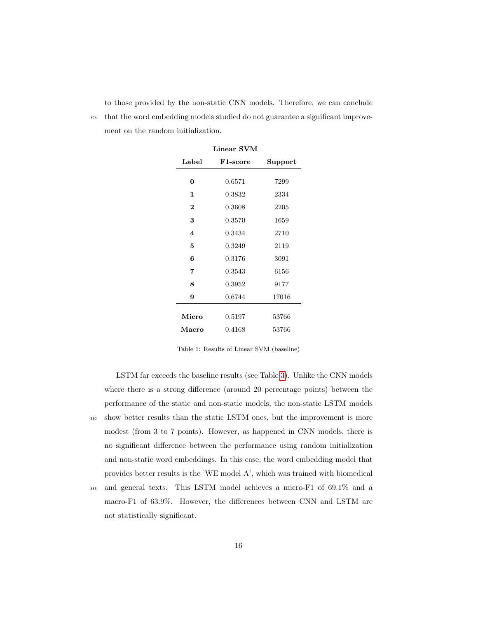to those provided by the non-static CNN models. Therefore, we can conclude

<sup>325</sup> that the word embedding models studied do not guarantee a significant improvement on the random initialization.

Linear SVM

| F1-score | Support |
|----------|---------|
|          |         |
| 0.6571   | 7299    |
| 0.3832   | 2334    |
| 0.3608   | 2205    |
| 0.3570   | 1659    |
| 0.3434   | 2710    |
| 0.3249   | 2119    |
| 0.3176   | 3091    |
| 0.3543   | 6156    |
| 0.3952   | 9177    |
| 0.6744   | 17016   |
|          |         |
| 0.5197   | 53766   |
| 0.4168   | 53766   |
|          |         |

Table 1: Results of Linear SVM (baseline)

LSTM far exceeds the baseline results (see Table [3\)](#page-18-0). Unlike the CNN models where there is a strong difference (around 20 percentage points) between the performance of the static and non-static models, the non-static LSTM models <sup>330</sup> show better results than the static LSTM ones, but the improvement is more modest (from 3 to 7 points). However, as happened in CNN models, there is no significant difference between the performance using random initialization and non-static word embeddings. In this case, the word embedding model that provides better results is the 'WE model A', which was trained with biomedical <sup>335</sup> and general texts. This LSTM model achieves a micro-F1 of 69.1% and a macro-F1 of 63.9%. However, the differences between CNN and LSTM are

not statistically significant.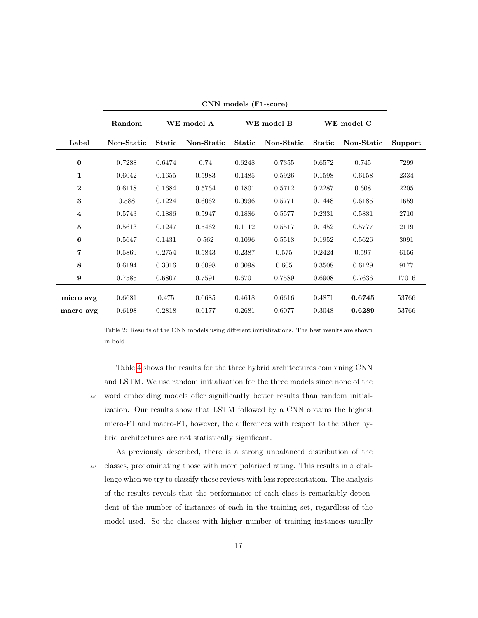<span id="page-17-0"></span>

|                         | Random     | WE model A    |            |               | WE model B |               | WE model C |         |
|-------------------------|------------|---------------|------------|---------------|------------|---------------|------------|---------|
| Label                   | Non-Static | <b>Static</b> | Non-Static | <b>Static</b> | Non-Static | <b>Static</b> | Non-Static | Support |
| $\bf{0}$                | 0.7288     | 0.6474        | 0.74       | 0.6248        | 0.7355     | 0.6572        | 0.745      | 7299    |
| 1                       | 0.6042     | 0.1655        | 0.5983     | 0.1485        | 0.5926     | 0.1598        | 0.6158     | 2334    |
| $\bf{2}$                | 0.6118     | 0.1684        | 0.5764     | 0.1801        | 0.5712     | 0.2287        | 0.608      | 2205    |
| 3                       | 0.588      | 0.1224        | 0.6062     | 0.0996        | 0.5771     | 0.1448        | 0.6185     | 1659    |
| $\overline{\mathbf{4}}$ | 0.5743     | 0.1886        | 0.5947     | 0.1886        | 0.5577     | 0.2331        | 0.5881     | 2710    |
| 5                       | 0.5613     | 0.1247        | 0.5462     | 0.1112        | 0.5517     | 0.1452        | 0.5777     | 2119    |
| 6                       | 0.5647     | 0.1431        | 0.562      | 0.1096        | 0.5518     | 0.1952        | 0.5626     | 3091    |
| 7                       | 0.5869     | 0.2754        | 0.5843     | 0.2387        | 0.575      | 0.2424        | 0.597      | 6156    |
| 8                       | 0.6194     | 0.3016        | 0.6098     | 0.3098        | 0.605      | 0.3508        | 0.6129     | 9177    |
| 9                       | 0.7585     | 0.6807        | 0.7591     | 0.6701        | 0.7589     | 0.6908        | 0.7636     | 17016   |
| micro avg               | 0.6681     | 0.475         | 0.6685     | 0.4618        | 0.6616     | 0.4871        | 0.6745     | 53766   |
| macro avg               | 0.6198     | 0.2818        | 0.6177     | 0.2681        | 0.6077     | 0.3048        | 0.6289     | 53766   |
|                         |            |               |            |               |            |               |            |         |

CNN models (F1-score)

Table 2: Results of the CNN models using different initializations. The best results are shown in bold

Table [4](#page-19-0) shows the results for the three hybrid architectures combining CNN and LSTM. We use random initialization for the three models since none of the <sup>340</sup> word embedding models offer significantly better results than random initialization. Our results show that LSTM followed by a CNN obtains the highest micro-F1 and macro-F1, however, the differences with respect to the other hybrid architectures are not statistically significant.

As previously described, there is a strong unbalanced distribution of the <sup>345</sup> classes, predominating those with more polarized rating. This results in a challenge when we try to classify those reviews with less representation. The analysis of the results reveals that the performance of each class is remarkably dependent of the number of instances of each in the training set, regardless of the model used. So the classes with higher number of training instances usually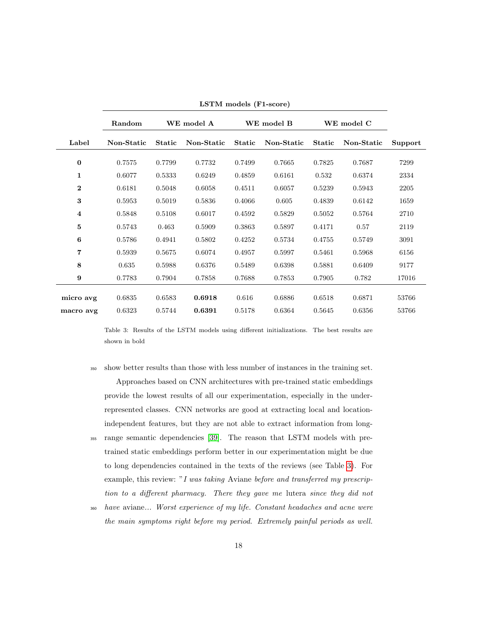<span id="page-18-0"></span>

|                         | WE model A<br>WE model B<br>Random |               |            |               |            | WE model C    |            |         |
|-------------------------|------------------------------------|---------------|------------|---------------|------------|---------------|------------|---------|
| Label                   | Non-Static                         | <b>Static</b> | Non-Static | <b>Static</b> | Non-Static | <b>Static</b> | Non-Static | Support |
| $\bf{0}$                | 0.7575                             | 0.7799        | 0.7732     | 0.7499        | 0.7665     | 0.7825        | 0.7687     | 7299    |
| 1                       | 0.6077                             | 0.5333        | 0.6249     | 0.4859        | 0.6161     | 0.532         | 0.6374     | 2334    |
| $\bf{2}$                | 0.6181                             | 0.5048        | 0.6058     | 0.4511        | 0.6057     | 0.5239        | 0.5943     | 2205    |
| 3                       | 0.5953                             | 0.5019        | 0.5836     | 0.4066        | 0.605      | 0.4839        | 0.6142     | 1659    |
| $\overline{\mathbf{4}}$ | 0.5848                             | 0.5108        | 0.6017     | 0.4592        | 0.5829     | 0.5052        | 0.5764     | 2710    |
| 5                       | 0.5743                             | 0.463         | 0.5909     | 0.3863        | 0.5897     | 0.4171        | 0.57       | 2119    |
| 6                       | 0.5786                             | 0.4941        | 0.5802     | 0.4252        | 0.5734     | 0.4755        | 0.5749     | 3091    |
| 7                       | 0.5939                             | 0.5675        | 0.6074     | 0.4957        | 0.5997     | 0.5461        | 0.5968     | 6156    |
| 8                       | 0.635                              | 0.5988        | 0.6376     | 0.5489        | 0.6398     | 0.5881        | 0.6409     | 9177    |
| 9                       | 0.7783                             | 0.7904        | 0.7858     | 0.7688        | 0.7853     | 0.7905        | 0.782      | 17016   |
| micro avg               | 0.6835                             | 0.6583        | 0.6918     | 0.616         | 0.6886     | 0.6518        | 0.6871     | 53766   |
| macro avg               | 0.6323                             | 0.5744        | 0.6391     | 0.5178        | 0.6364     | 0.5645        | 0.6356     | 53766   |

LSTM models (F1-score)

Table 3: Results of the LSTM models using different initializations. The best results are shown in bold

- <sup>350</sup> show better results than those with less number of instances in the training set. Approaches based on CNN architectures with pre-trained static embeddings provide the lowest results of all our experimentation, especially in the underrepresented classes. CNN networks are good at extracting local and locationindependent features, but they are not able to extract information from long-<sup>355</sup> range semantic dependencies [\[39\]](#page-33-1). The reason that LSTM models with pre-
- trained static embeddings perform better in our experimentation might be due to long dependencies contained in the texts of the reviews (see Table [3\)](#page-18-0). For example, this review: "I was taking Aviane before and transferred my prescription to a different pharmacy. There they gave me lutera since they did not
- <sup>360</sup> have aviane... Worst experience of my life. Constant headaches and acne were the main symptoms right before my period. Extremely painful periods as well.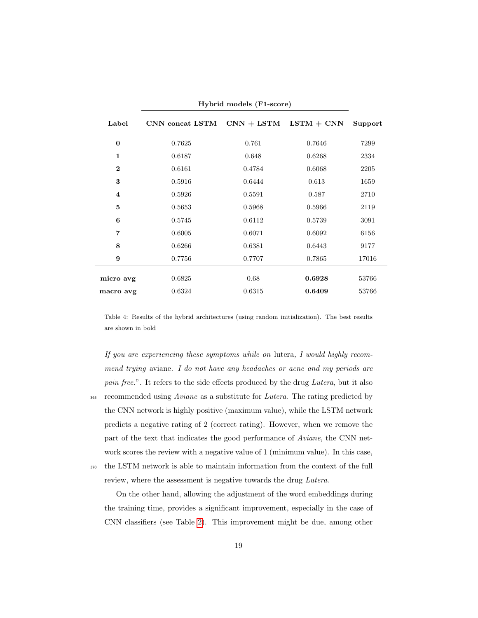<span id="page-19-0"></span>

|                    | Hybrid models (F1-score) |                            |              |         |  |  |
|--------------------|--------------------------|----------------------------|--------------|---------|--|--|
| Label              | CNN concat LSTM          | $\text{CNN} + \text{LSTM}$ | $LSTM + CNN$ | Support |  |  |
| $\bf{0}$           | 0.7625                   | 0.761                      | 0.7646       | 7299    |  |  |
| $\mathbf{1}$       | 0.6187                   | 0.648                      | 0.6268       | 2334    |  |  |
| $\overline{2}$     | 0.6161                   | 0.4784                     | 0.6068       | 2205    |  |  |
| 3                  | 0.5916                   | 0.6444                     | 0.613        | 1659    |  |  |
| $\overline{\bf 4}$ | 0.5926                   | 0.5591                     | 0.587        | 2710    |  |  |
| 5                  | 0.5653                   | 0.5968                     | 0.5966       | 2119    |  |  |
| 6                  | 0.5745                   | 0.6112                     | 0.5739       | 3091    |  |  |
| $\overline{7}$     | 0.6005                   | 0.6071                     | 0.6092       | 6156    |  |  |
| 8                  | 0.6266                   | 0.6381                     | 0.6443       | 9177    |  |  |
| 9                  | 0.7756                   | 0.7707                     | 0.7865       | 17016   |  |  |
| micro avg          | 0.6825                   | 0.68                       | 0.6928       | 53766   |  |  |
| macro avg          | 0.6324                   | 0.6315                     | 0.6409       | 53766   |  |  |

Table 4: Results of the hybrid architectures (using random initialization). The best results

are shown in bold

If you are experiencing these symptoms while on lutera, I would highly recommend trying aviane. I do not have any headaches or acne and my periods are pain free.". It refers to the side effects produced by the drug Lutera, but it also  $365$  recommended using *Aviane* as a substitute for *Lutera*. The rating predicted by the CNN network is highly positive (maximum value), while the LSTM network predicts a negative rating of 2 (correct rating). However, when we remove the part of the text that indicates the good performance of Aviane, the CNN network scores the review with a negative value of 1 (minimum value). In this case, <sup>370</sup> the LSTM network is able to maintain information from the context of the full

review, where the assessment is negative towards the drug Lutera.

On the other hand, allowing the adjustment of the word embeddings during the training time, provides a significant improvement, especially in the case of CNN classifiers (see Table [2\)](#page-17-0). This improvement might be due, among other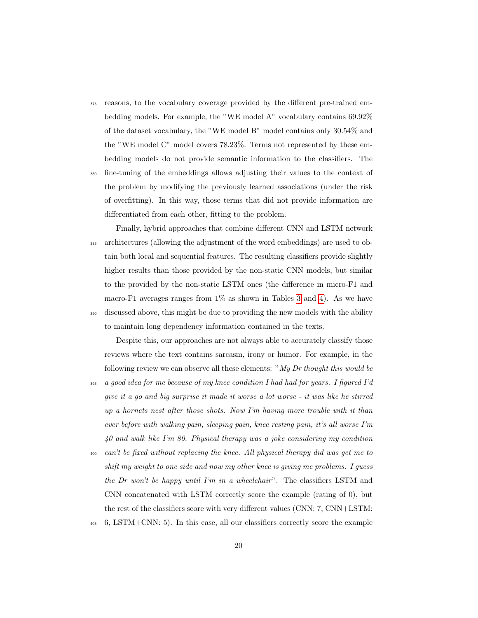- <sup>375</sup> reasons, to the vocabulary coverage provided by the different pre-trained embedding models. For example, the "WE model A" vocabulary contains 69.92% of the dataset vocabulary, the "WE model B" model contains only 30.54% and the "WE model C" model covers 78.23%. Terms not represented by these embedding models do not provide semantic information to the classifiers. The
- <sup>380</sup> fine-tuning of the embeddings allows adjusting their values to the context of the problem by modifying the previously learned associations (under the risk of overfitting). In this way, those terms that did not provide information are differentiated from each other, fitting to the problem.
- Finally, hybrid approaches that combine different CNN and LSTM network <sup>385</sup> architectures (allowing the adjustment of the word embeddings) are used to obtain both local and sequential features. The resulting classifiers provide slightly higher results than those provided by the non-static CNN models, but similar to the provided by the non-static LSTM ones (the difference in micro-F1 and macro-F1 averages ranges from  $1\%$  as shown in Tables [3](#page-18-0) and [4\)](#page-19-0). As we have <sup>390</sup> discussed above, this might be due to providing the new models with the ability to maintain long dependency information contained in the texts.

Despite this, our approaches are not always able to accurately classify those reviews where the text contains sarcasm, irony or humor. For example, in the following review we can observe all these elements: " $My Dr$  thought this would be

- <sup>395</sup> a good idea for me because of my knee condition I had had for years. I figured I'd give it a go and big surprise it made it worse a lot worse - it was like he stirred up a hornets nest after those shots. Now I'm having more trouble with it than ever before with walking pain, sleeping pain, knee resting pain, it's all worse I'm 40 and walk like I'm 80. Physical therapy was a joke considering my condition
- $\alpha$  can't be fixed without replacing the knee. All physical therapy did was get me to shift my weight to one side and now my other knee is giving me problems. I guess the Dr won't be happy until I'm in a wheelchair". The classifiers LSTM and CNN concatenated with LSTM correctly score the example (rating of 0), but the rest of the classifiers score with very different values (CNN: 7, CNN+LSTM:
- <sup>405</sup> 6, LSTM+CNN: 5). In this case, all our classifiers correctly score the example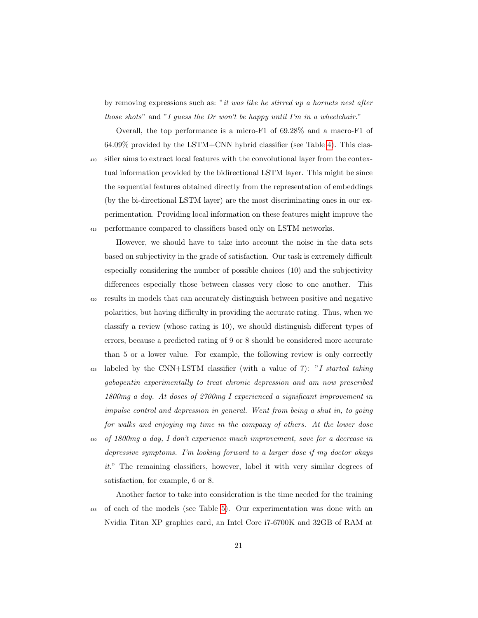by removing expressions such as: "it was like he stirred up a hornets nest after those shots" and "I quess the Dr won't be happy until I'm in a wheelchair."

Overall, the top performance is a micro-F1 of 69.28% and a macro-F1 of  $64.09\%$  provided by the LSTM+CNN hybrid classifier (see Table [4\)](#page-19-0). This clas-<sup>410</sup> sifier aims to extract local features with the convolutional layer from the contextual information provided by the bidirectional LSTM layer. This might be since the sequential features obtained directly from the representation of embeddings (by the bi-directional LSTM layer) are the most discriminating ones in our experimentation. Providing local information on these features might improve the <sup>415</sup> performance compared to classifiers based only on LSTM networks.

However, we should have to take into account the noise in the data sets based on subjectivity in the grade of satisfaction. Our task is extremely difficult especially considering the number of possible choices (10) and the subjectivity differences especially those between classes very close to one another. This <sup>420</sup> results in models that can accurately distinguish between positive and negative polarities, but having difficulty in providing the accurate rating. Thus, when we classify a review (whose rating is 10), we should distinguish different types of errors, because a predicted rating of 9 or 8 should be considered more accurate than 5 or a lower value. For example, the following review is only correctly

 $425$  labeled by the CNN+LSTM classifier (with a value of 7): "I started taking gabapentin experimentally to treat chronic depression and am now prescribed 1800mg a day. At doses of 2700mg I experienced a significant improvement in impulse control and depression in general. Went from being a shut in, to going for walks and enjoying my time in the company of others. At the lower dose

<sup>430</sup> of 1800mg a day, I don't experience much improvement, save for a decrease in depressive symptoms. I'm looking forward to a larger dose if my doctor okays it." The remaining classifiers, however, label it with very similar degrees of satisfaction, for example, 6 or 8.

Another factor to take into consideration is the time needed for the training <sup>435</sup> of each of the models (see Table [5\)](#page-22-0). Our experimentation was done with an Nvidia Titan XP graphics card, an Intel Core i7-6700K and 32GB of RAM at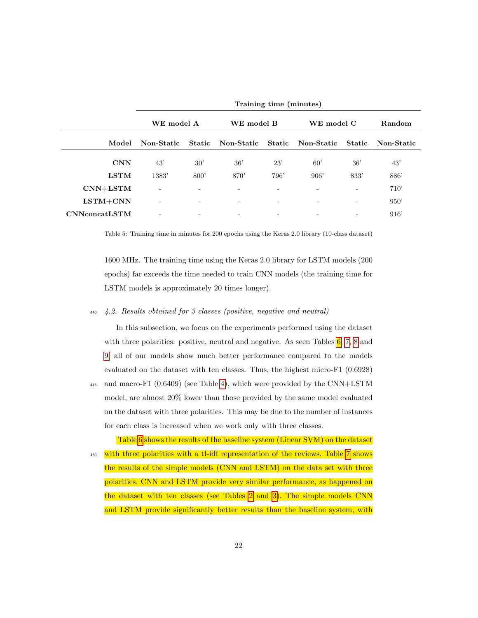<span id="page-22-0"></span>

|                       |                          | Training time (minutes) |                   |      |                          |                          |            |
|-----------------------|--------------------------|-------------------------|-------------------|------|--------------------------|--------------------------|------------|
|                       | WE model A<br>WE model B |                         |                   |      | WE model C               |                          | Random     |
| Model                 | Non-Static               | <b>Static</b>           | Non-Static Static |      | Non-Static               | <b>Static</b>            | Non-Static |
| <b>CNN</b>            | 43'                      | 30'                     | 36'               | 23'  | 60'                      | 36'                      | 43'        |
| <b>LSTM</b>           | 1383'                    | 800'                    | 870'              | 796' | 906'                     | 833'                     | 886'       |
| $CNN+LSTM$            | ۰                        | ۰                       |                   |      |                          | $\overline{\phantom{a}}$ | 710'       |
| $LSTM + CNN$          | ۰                        | $\qquad \qquad -$       |                   | ۳    | $\overline{\phantom{0}}$ | ۰                        | 950'       |
| <b>CNN</b> concatLSTM |                          | ٠                       |                   |      |                          | ٠                        | 916'       |

Table 5: Training time in minutes for 200 epochs using the Keras 2.0 library (10-class dataset)

1600 MHz. The training time using the Keras 2.0 library for LSTM models (200 epochs) far exceeds the time needed to train CNN models (the training time for LSTM models is approximately 20 times longer).

## <sup>440</sup> 4.2. Results obtained for 3 classes (positive, negative and neutral)

In this subsection, we focus on the experiments performed using the dataset with three polarities: positive, neutral and negative. As seen Tables  $6, 7, 8$  $6, 7, 8$  $6, 7, 8$  and [9,](#page-24-1) all of our models show much better performance compared to the models evaluated on the dataset with ten classes. Thus, the highest micro-F1 (0.6928)

<sup>445</sup> and macro-F1 (0.6409) (see Table [4\)](#page-19-0), which were provided by the CNN+LSTM model, are almost 20% lower than those provided by the same model evaluated on the dataset with three polarities. This may be due to the number of instances for each class is increased when we work only with three classes.

Table [6](#page-23-0) shows the results of the baseline system (Linear SVM) on the dataset <sup>450</sup> with three polarities with a tf-idf representation of the reviews. Table [7](#page-23-1) shows the results of the simple models (CNN and LSTM) on the data set with three polarities. CNN and LSTM provide very similar performance, as happened on the dataset with ten classes (see Tables [2](#page-17-0) and [3\)](#page-18-0). The simple models CNN and LSTM provide significantly better results than the baseline system, with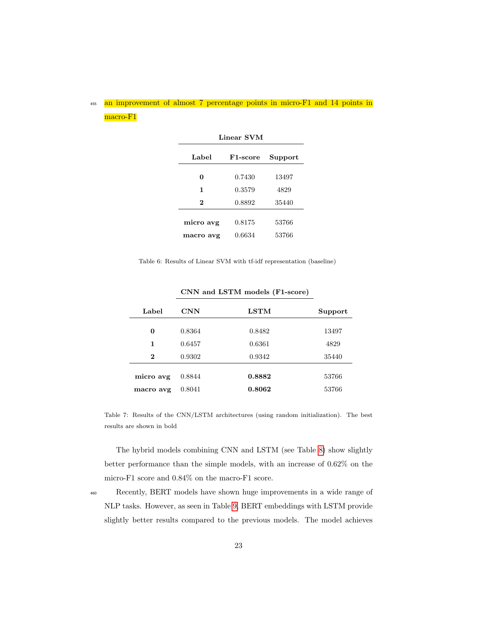## <span id="page-23-0"></span>455 an improvement of almost 7 percentage points in micro-F1 and 14 points in macro-F1

| Linear SVM |                       |         |  |  |
|------------|-----------------------|---------|--|--|
| Label      | F <sub>1</sub> -score | Support |  |  |
| 0          | 0.7430                | 13497   |  |  |
| 1          | 0.3579                | 4829    |  |  |
| 2          | 0.8892                | 35440   |  |  |
| micro avg  | 0.8175                | 53766   |  |  |
| macro avg  | 0.6634                | 53766   |  |  |

Table 6: Results of Linear SVM with tf-idf representation (baseline)

<span id="page-23-1"></span>

| Label                  | <b>CNN</b>       | LSTM             | Support        |
|------------------------|------------------|------------------|----------------|
| 0                      | 0.8364           | 0.8482           | 13497          |
| 1                      | 0.6457           | 0.6361           | 4829           |
| $\bf{2}$               | 0.9302           | 0.9342           | 35440          |
| micro avg<br>macro avg | 0.8844<br>0.8041 | 0.8882<br>0.8062 | 53766<br>53766 |

CNN and LSTM models (F1-score)

Table 7: Results of the CNN/LSTM architectures (using random initialization). The best results are shown in bold

The hybrid models combining CNN and LSTM (see Table [8\)](#page-24-0) show slightly better performance than the simple models, with an increase of 0.62% on the micro-F1 score and 0.84% on the macro-F1 score.

<sup>460</sup> Recently, BERT models have shown huge improvements in a wide range of NLP tasks. However, as seen in Table [9,](#page-24-1) BERT embeddings with LSTM provide slightly better results compared to the previous models. The model achieves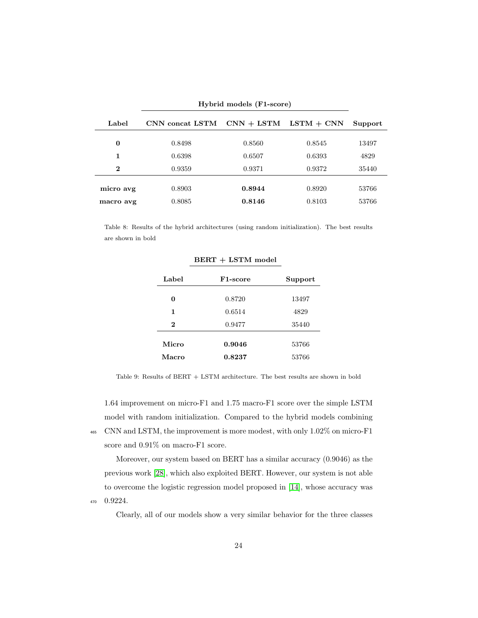<span id="page-24-0"></span>

| Hybrid models (F1-score) |                  |                  |                           |                |
|--------------------------|------------------|------------------|---------------------------|----------------|
| Label                    | CNN concat LSTM  |                  | $CNN + LSTM$ $LSTM + CNN$ | Support        |
| 0                        | 0.8498           | 0.8560           | 0.8545                    | 13497          |
| 1                        | 0.6398           | 0.6507           | 0.6393                    | 4829           |
| $\bf{2}$                 | 0.9359           | 0.9371           | 0.9372                    | 35440          |
| micro avg<br>macro avg   | 0.8903<br>0.8085 | 0.8944<br>0.8146 | 0.8920<br>0.8103          | 53766<br>53766 |

<span id="page-24-1"></span>Table 8: Results of the hybrid architectures (using random initialization). The best results are shown in bold

| Label    | F <sub>1</sub> -score | Support |
|----------|-----------------------|---------|
| 0        | 0.8720                | 13497   |
| 1        | 0.6514                | 4829    |
| $\bf{2}$ | 0.9477                | 35440   |
| Micro    | 0.9046                | 53766   |
| Macro    | 0.8237                | 53766   |

BERT + LSTM model

Table 9: Results of BERT + LSTM architecture. The best results are shown in bold

1.64 improvement on micro-F1 and 1.75 macro-F1 score over the simple LSTM model with random initialization. Compared to the hybrid models combining <sup>465</sup> CNN and LSTM, the improvement is more modest, with only 1.02% on micro-F1 score and  $0.91\%$  on macro-F1 score.

Moreover, our system based on BERT has a similar accuracy (0.9046) as the previous work [\[28\]](#page-31-6), which also exploited BERT. However, our system is not able to overcome the logistic regression model proposed in [\[14\]](#page-30-0), whose accuracy was <sup>470</sup> 0.9224.

Clearly, all of our models show a very similar behavior for the three classes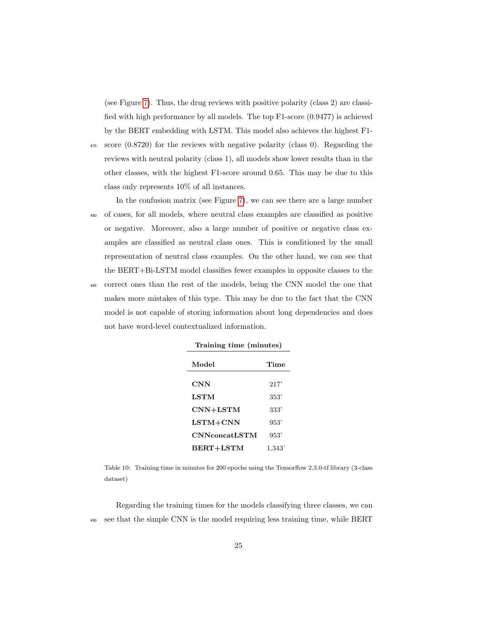(see Figure [7\)](#page-26-1). Thus, the drug reviews with positive polarity (class 2) are classified with high performance by all models. The top F1-score (0.9477) is achieved by the BERT embedding with LSTM. This model also achieves the highest F1-

<sup>475</sup> score (0.8720) for the reviews with negative polarity (class 0). Regarding the reviews with neutral polarity (class 1), all models show lower results than in the other classes, with the highest F1-score around 0.65. This may be due to this class only represents 10% of all instances.

In the confusion matrix (see Figure [7\)](#page-26-1), we can see there are a large number <sup>480</sup> of cases, for all models, where neutral class examples are classified as positive or negative. Moreover, also a large number of positive or negative class examples are classified as neutral class ones. This is conditioned by the small representation of neutral class examples. On the other hand, we can see that the BERT+Bi-LSTM model classifies fewer examples in opposite classes to the <sup>485</sup> correct ones than the rest of the models, being the CNN model the one that makes more mistakes of this type. This may be due to the fact that the CNN model is not capable of storing information about long dependencies and does not have word-level contextualized information.

| Model                | Time   |
|----------------------|--------|
| $\mathbf{CNN}$       | 217'   |
| LSTM                 | 353'   |
| $CNN+LSTM$           | 333'   |
| $LSTM+CNN$           | 953'   |
| <b>CNNconcatLSTM</b> | 953'   |
| BERT+LSTM            | 1,343' |

| Training time (minutes) |  |
|-------------------------|--|
|-------------------------|--|

Table 10: Training time in minutes for 200 epochs using the Tensorflow 2.3.0-tf library (3-class dataset)

Regarding the training times for the models classifying three classes, we can <sup>490</sup> see that the simple CNN is the model requiring less training time, while BERT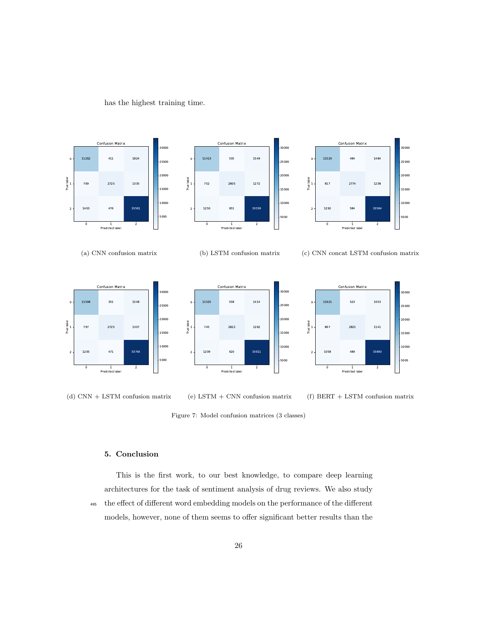<span id="page-26-1"></span>



(d) CNN + LSTM confusion matrix

(e) LSTM + CNN confusion matrix

(f) BERT + LSTM confusion matrix



## <span id="page-26-0"></span>5. Conclusion

This is the first work, to our best knowledge, to compare deep learning architectures for the task of sentiment analysis of drug reviews. We also study <sup>495</sup> the effect of different word embedding models on the performance of the different models, however, none of them seems to offer significant better results than the

26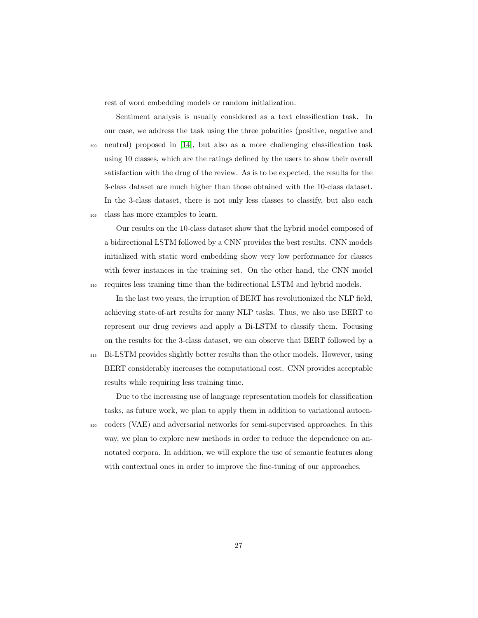rest of word embedding models or random initialization.

Sentiment analysis is usually considered as a text classification task. In our case, we address the task using the three polarities (positive, negative and <sup>500</sup> neutral) proposed in [\[14\]](#page-30-0), but also as a more challenging classification task using 10 classes, which are the ratings defined by the users to show their overall satisfaction with the drug of the review. As is to be expected, the results for the 3-class dataset are much higher than those obtained with the 10-class dataset. In the 3-class dataset, there is not only less classes to classify, but also each <sup>505</sup> class has more examples to learn.

Our results on the 10-class dataset show that the hybrid model composed of a bidirectional LSTM followed by a CNN provides the best results. CNN models initialized with static word embedding show very low performance for classes with fewer instances in the training set. On the other hand, the CNN model <sup>510</sup> requires less training time than the bidirectional LSTM and hybrid models.

In the last two years, the irruption of BERT has revolutionized the NLP field, achieving state-of-art results for many NLP tasks. Thus, we also use BERT to represent our drug reviews and apply a Bi-LSTM to classify them. Focusing on the results for the 3-class dataset, we can observe that BERT followed by a <sup>515</sup> Bi-LSTM provides slightly better results than the other models. However, using BERT considerably increases the computational cost. CNN provides acceptable results while requiring less training time.

Due to the increasing use of language representation models for classification tasks, as future work, we plan to apply them in addition to variational autoen-<sup>520</sup> coders (VAE) and adversarial networks for semi-supervised approaches. In this way, we plan to explore new methods in order to reduce the dependence on annotated corpora. In addition, we will explore the use of semantic features along with contextual ones in order to improve the fine-tuning of our approaches.

27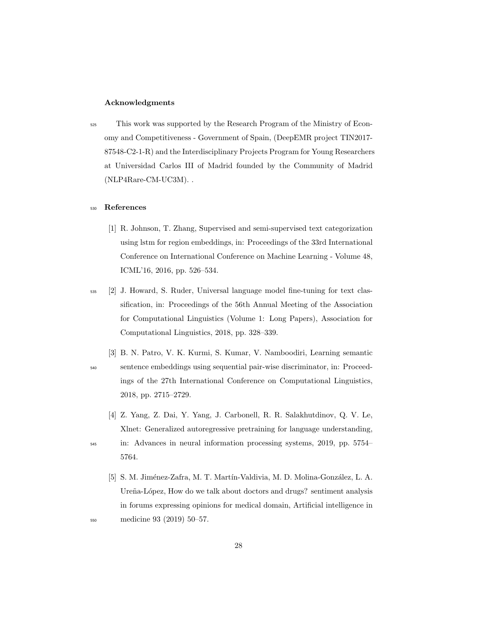## Acknowledgments

<sup>525</sup> This work was supported by the Research Program of the Ministry of Economy and Competitiveness - Government of Spain, (DeepEMR project TIN2017- 87548-C2-1-R) and the Interdisciplinary Projects Program for Young Researchers at Universidad Carlos III of Madrid founded by the Community of Madrid (NLP4Rare-CM-UC3M). .

## <sup>530</sup> References

- <span id="page-28-0"></span>[1] R. Johnson, T. Zhang, Supervised and semi-supervised text categorization using lstm for region embeddings, in: Proceedings of the 33rd International Conference on International Conference on Machine Learning - Volume 48, ICML'16, 2016, pp. 526–534.
- <span id="page-28-1"></span><sup>535</sup> [2] J. Howard, S. Ruder, Universal language model fine-tuning for text classification, in: Proceedings of the 56th Annual Meeting of the Association for Computational Linguistics (Volume 1: Long Papers), Association for Computational Linguistics, 2018, pp. 328–339.
- <span id="page-28-2"></span>[3] B. N. Patro, V. K. Kurmi, S. Kumar, V. Namboodiri, Learning semantic <sup>540</sup> sentence embeddings using sequential pair-wise discriminator, in: Proceedings of the 27th International Conference on Computational Linguistics, 2018, pp. 2715–2729.
	- [4] Z. Yang, Z. Dai, Y. Yang, J. Carbonell, R. R. Salakhutdinov, Q. V. Le, Xlnet: Generalized autoregressive pretraining for language understanding,

- <span id="page-28-3"></span><sup>545</sup> in: Advances in neural information processing systems, 2019, pp. 5754– 5764.
- <span id="page-28-4"></span>[5] S. M. Jiménez-Zafra, M. T. Martín-Valdivia, M. D. Molina-González, L. A. Ureña-López, How do we talk about doctors and drugs? sentiment analysis in forums expressing opinions for medical domain, Artificial intelligence in <sup>550</sup> medicine 93 (2019) 50–57.

28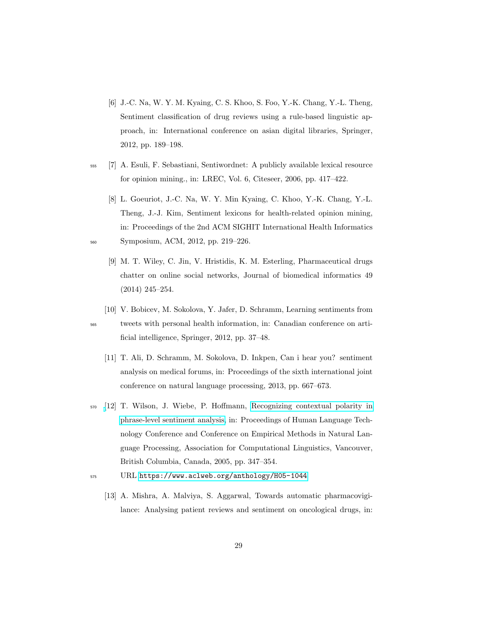- <span id="page-29-0"></span>[6] J.-C. Na, W. Y. M. Kyaing, C. S. Khoo, S. Foo, Y.-K. Chang, Y.-L. Theng, Sentiment classification of drug reviews using a rule-based linguistic approach, in: International conference on asian digital libraries, Springer, 2012, pp. 189–198.
- <span id="page-29-1"></span><sup>555</sup> [7] A. Esuli, F. Sebastiani, Sentiwordnet: A publicly available lexical resource for opinion mining., in: LREC, Vol. 6, Citeseer, 2006, pp. 417–422.
- <span id="page-29-3"></span><span id="page-29-2"></span>[8] L. Goeuriot, J.-C. Na, W. Y. Min Kyaing, C. Khoo, Y.-K. Chang, Y.-L. Theng, J.-J. Kim, Sentiment lexicons for health-related opinion mining, in: Proceedings of the 2nd ACM SIGHIT International Health Informatics <sup>560</sup> Symposium, ACM, 2012, pp. 219–226.
	- [9] M. T. Wiley, C. Jin, V. Hristidis, K. M. Esterling, Pharmaceutical drugs chatter on online social networks, Journal of biomedical informatics 49 (2014) 245–254.
- <span id="page-29-5"></span><span id="page-29-4"></span>[10] V. Bobicev, M. Sokolova, Y. Jafer, D. Schramm, Learning sentiments from <sup>565</sup> tweets with personal health information, in: Canadian conference on artificial intelligence, Springer, 2012, pp. 37–48.
	- [11] T. Ali, D. Schramm, M. Sokolova, D. Inkpen, Can i hear you? sentiment analysis on medical forums, in: Proceedings of the sixth international joint conference on natural language processing, 2013, pp. 667–673.
- <span id="page-29-6"></span><sup>570</sup> [\[](https://www.aclweb.org/anthology/H05-1044)12] T. Wilson, J. Wiebe, P. Hoffmann, [Recognizing contextual polarity in](https://www.aclweb.org/anthology/H05-1044) [phrase-level sentiment analysis,](https://www.aclweb.org/anthology/H05-1044) in: Proceedings of Human Language Technology Conference and Conference on Empirical Methods in Natural Language Processing, Association for Computational Linguistics, Vancouver, British Columbia, Canada, 2005, pp. 347–354.
- <span id="page-29-7"></span><sup>575</sup> URL <https://www.aclweb.org/anthology/H05-1044>
	- [13] A. Mishra, A. Malviya, S. Aggarwal, Towards automatic pharmacovigilance: Analysing patient reviews and sentiment on oncological drugs, in: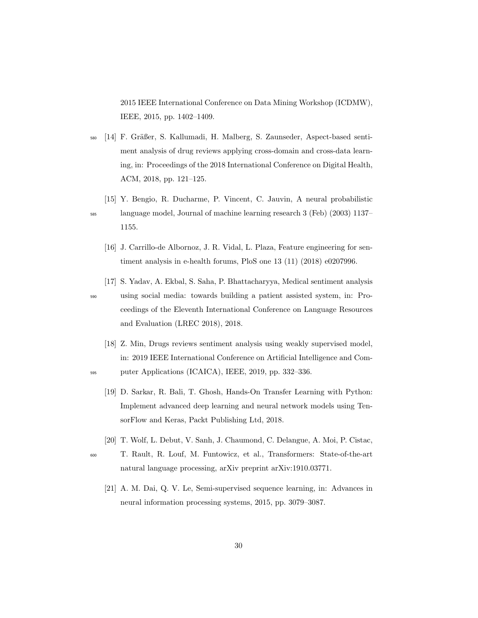2015 IEEE International Conference on Data Mining Workshop (ICDMW), IEEE, 2015, pp. 1402–1409.

- <span id="page-30-0"></span>580 [14] F. Gräßer, S. Kallumadi, H. Malberg, S. Zaunseder, Aspect-based sentiment analysis of drug reviews applying cross-domain and cross-data learning, in: Proceedings of the 2018 International Conference on Digital Health, ACM, 2018, pp. 121–125.
- <span id="page-30-2"></span><span id="page-30-1"></span>[15] Y. Bengio, R. Ducharme, P. Vincent, C. Jauvin, A neural probabilistic <sup>585</sup> language model, Journal of machine learning research 3 (Feb) (2003) 1137– 1155.
	- [16] J. Carrillo-de Albornoz, J. R. Vidal, L. Plaza, Feature engineering for sentiment analysis in e-health forums, PloS one 13 (11) (2018) e0207996.
- <span id="page-30-3"></span>[17] S. Yadav, A. Ekbal, S. Saha, P. Bhattacharyya, Medical sentiment analysis <sup>590</sup> using social media: towards building a patient assisted system, in: Proceedings of the Eleventh International Conference on Language Resources and Evaluation (LREC 2018), 2018.
- <span id="page-30-5"></span><span id="page-30-4"></span>[18] Z. Min, Drugs reviews sentiment analysis using weakly supervised model, in: 2019 IEEE International Conference on Artificial Intelligence and Com-<sup>595</sup> puter Applications (ICAICA), IEEE, 2019, pp. 332–336.
	- [19] D. Sarkar, R. Bali, T. Ghosh, Hands-On Transfer Learning with Python: Implement advanced deep learning and neural network models using TensorFlow and Keras, Packt Publishing Ltd, 2018.
	- [20] T. Wolf, L. Debut, V. Sanh, J. Chaumond, C. Delangue, A. Moi, P. Cistac,
- <span id="page-30-7"></span><span id="page-30-6"></span><sup>600</sup> T. Rault, R. Louf, M. Funtowicz, et al., Transformers: State-of-the-art natural language processing, arXiv preprint arXiv:1910.03771.
	- [21] A. M. Dai, Q. V. Le, Semi-supervised sequence learning, in: Advances in neural information processing systems, 2015, pp. 3079–3087.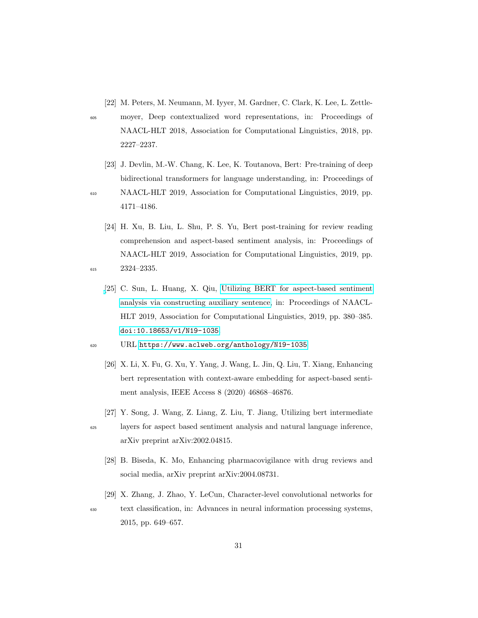- <span id="page-31-0"></span>[22] M. Peters, M. Neumann, M. Iyyer, M. Gardner, C. Clark, K. Lee, L. Zettle-
- <sup>605</sup> moyer, Deep contextualized word representations, in: Proceedings of NAACL-HLT 2018, Association for Computational Linguistics, 2018, pp. 2227–2237.
	- [23] J. Devlin, M.-W. Chang, K. Lee, K. Toutanova, Bert: Pre-training of deep bidirectional transformers for language understanding, in: Proceedings of

- <span id="page-31-1"></span><sup>610</sup> NAACL-HLT 2019, Association for Computational Linguistics, 2019, pp. 4171–4186.
- <span id="page-31-3"></span><span id="page-31-2"></span>[24] H. Xu, B. Liu, L. Shu, P. S. Yu, Bert post-training for review reading comprehension and aspect-based sentiment analysis, in: Proceedings of NAACL-HLT 2019, Association for Computational Linguistics, 2019, pp. <sup>615</sup> 2324–2335.
	- [\[](https://www.aclweb.org/anthology/N19-1035)25] C. Sun, L. Huang, X. Qiu, [Utilizing BERT for aspect-based sentiment](https://www.aclweb.org/anthology/N19-1035) [analysis via constructing auxiliary sentence,](https://www.aclweb.org/anthology/N19-1035) in: Proceedings of NAACL-HLT 2019, Association for Computational Linguistics, 2019, pp. 380–385. [doi:10.18653/v1/N19-1035](http://dx.doi.org/10.18653/v1/N19-1035).
- <span id="page-31-4"></span><sup>620</sup> URL <https://www.aclweb.org/anthology/N19-1035>
	- [26] X. Li, X. Fu, G. Xu, Y. Yang, J. Wang, L. Jin, Q. Liu, T. Xiang, Enhancing bert representation with context-aware embedding for aspect-based sentiment analysis, IEEE Access 8 (2020) 46868–46876.
	- [27] Y. Song, J. Wang, Z. Liang, Z. Liu, T. Jiang, Utilizing bert intermediate
- <span id="page-31-6"></span><span id="page-31-5"></span><sup>625</sup> layers for aspect based sentiment analysis and natural language inference, arXiv preprint arXiv:2002.04815.
	- [28] B. Biseda, K. Mo, Enhancing pharmacovigilance with drug reviews and social media, arXiv preprint arXiv:2004.08731.
	- [29] X. Zhang, J. Zhao, Y. LeCun, Character-level convolutional networks for
- <span id="page-31-7"></span><sup>630</sup> text classification, in: Advances in neural information processing systems, 2015, pp. 649–657.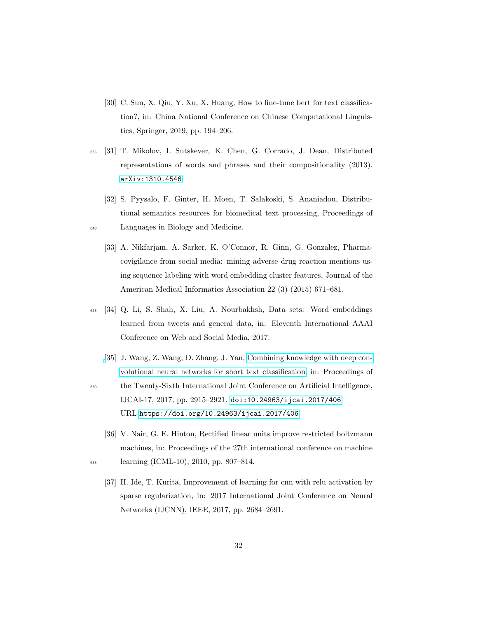- <span id="page-32-0"></span>[30] C. Sun, X. Qiu, Y. Xu, X. Huang, How to fine-tune bert for text classification?, in: China National Conference on Chinese Computational Linguistics, Springer, 2019, pp. 194–206.
- <span id="page-32-1"></span><sup>635</sup> [31] T. Mikolov, I. Sutskever, K. Chen, G. Corrado, J. Dean, Distributed representations of words and phrases and their compositionality (2013). [arXiv:1310.4546](http://arxiv.org/abs/1310.4546).
- <span id="page-32-3"></span><span id="page-32-2"></span>[32] S. Pyysalo, F. Ginter, H. Moen, T. Salakoski, S. Ananiadou, Distributional semantics resources for biomedical text processing, Proceedings of <sup>640</sup> Languages in Biology and Medicine.
	- [33] A. Nikfarjam, A. Sarker, K. O'Connor, R. Ginn, G. Gonzalez, Pharmacovigilance from social media: mining adverse drug reaction mentions using sequence labeling with word embedding cluster features, Journal of the American Medical Informatics Association 22 (3) (2015) 671–681.
- <span id="page-32-4"></span><sup>645</sup> [34] Q. Li, S. Shah, X. Liu, A. Nourbakhsh, Data sets: Word embeddings learned from tweets and general data, in: Eleventh International AAAI Conference on Web and Social Media, 2017.
- <span id="page-32-5"></span>[\[](https://doi.org/10.24963/ijcai.2017/406)35] J. Wang, Z. Wang, D. Zhang, J. Yan, [Combining knowledge with deep con](https://doi.org/10.24963/ijcai.2017/406)[volutional neural networks for short text classification,](https://doi.org/10.24963/ijcai.2017/406) in: Proceedings of <sup>650</sup> the Twenty-Sixth International Joint Conference on Artificial Intelligence, IJCAI-17, 2017, pp. 2915–2921. [doi:10.24963/ijcai.2017/406](http://dx.doi.org/10.24963/ijcai.2017/406). URL <https://doi.org/10.24963/ijcai.2017/406>
- <span id="page-32-7"></span><span id="page-32-6"></span>[36] V. Nair, G. E. Hinton, Rectified linear units improve restricted boltzmann machines, in: Proceedings of the 27th international conference on machine <sup>655</sup> learning (ICML-10), 2010, pp. 807–814.
	- [37] H. Ide, T. Kurita, Improvement of learning for cnn with relu activation by sparse regularization, in: 2017 International Joint Conference on Neural Networks (IJCNN), IEEE, 2017, pp. 2684–2691.